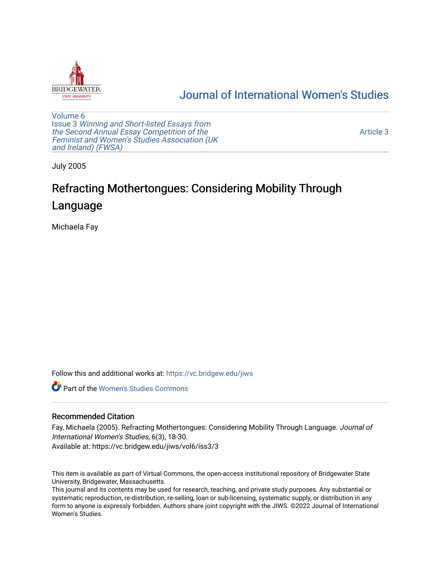

# [Journal of International Women's Studies](https://vc.bridgew.edu/jiws)

[Volume 6](https://vc.bridgew.edu/jiws/vol6) Issue 3 [Winning and Short-listed Essays from](https://vc.bridgew.edu/jiws/vol6/iss3) [the Second Annual Essay Competition of the](https://vc.bridgew.edu/jiws/vol6/iss3)  [Feminist and Women's Studies Association \(UK](https://vc.bridgew.edu/jiws/vol6/iss3) [and Ireland\) \(FWSA\)](https://vc.bridgew.edu/jiws/vol6/iss3) 

[Article 3](https://vc.bridgew.edu/jiws/vol6/iss3/3) 

July 2005

# Refracting Mothertongues: Considering Mobility Through Language

Michaela Fay

Follow this and additional works at: [https://vc.bridgew.edu/jiws](https://vc.bridgew.edu/jiws?utm_source=vc.bridgew.edu%2Fjiws%2Fvol6%2Fiss3%2F3&utm_medium=PDF&utm_campaign=PDFCoverPages)

**Part of the Women's Studies Commons** 

#### Recommended Citation

Fay, Michaela (2005). Refracting Mothertongues: Considering Mobility Through Language. Journal of International Women's Studies, 6(3), 18-30. Available at: https://vc.bridgew.edu/jiws/vol6/iss3/3

This item is available as part of Virtual Commons, the open-access institutional repository of Bridgewater State University, Bridgewater, Massachusetts.

This journal and its contents may be used for research, teaching, and private study purposes. Any substantial or systematic reproduction, re-distribution, re-selling, loan or sub-licensing, systematic supply, or distribution in any form to anyone is expressly forbidden. Authors share joint copyright with the JIWS. ©2022 Journal of International Women's Studies.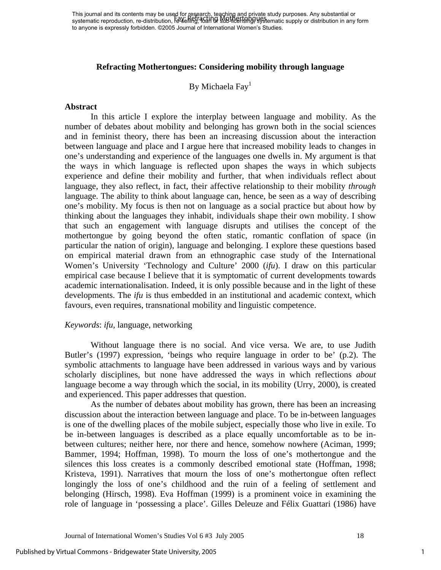This journal and its contents may be used for research, teaching and private study purposes. Any substantial or This journal and its contents may be used for pestated, requiring and private study purposes. Any substantial or<br>systematic reproduction, re-distribution, reverified, activity supplied from the stage matic supply or distri to anyone is expressly forbidden. ©2005 Journal of International Women's Studies.

#### **Refracting Mothertongues: Considering mobility through language**

## By Michaela Fay<sup>1</sup>

#### **Abstract**

In this article I explore the interplay between language and mobility. As the number of debates about mobility and belonging has grown both in the social sciences and in feminist theory, there has been an increasing discussion about the interaction between language and place and I argue here that increased mobility leads to changes in one's understanding and experience of the languages one dwells in. My argument is that the ways in which language is reflected upon shapes the ways in which subjects experience and define their mobility and further, that when individuals reflect about language, they also reflect, in fact, their affective relationship to their mobility *through* language. The ability to think about language can, hence, be seen as a way of describing one's mobility. My focus is then not on language as a social practice but about how by thinking about the languages they inhabit, individuals shape their own mobility. I show that such an engagement with language disrupts and utilises the concept of the mothertongue by going beyond the often static, romantic conflation of space (in particular the nation of origin), language and belonging. I explore these questions based on empirical material drawn from an ethnographic case study of the International Women's University 'Technology and Culture' 2000 (*ifu*). I draw on this particular empirical case because I believe that it is symptomatic of current developments towards academic internationalisation. Indeed, it is only possible because and in the light of these developments. The *ifu* is thus embedded in an institutional and academic context, which favours, even requires, transnational mobility and linguistic competence.

#### *Keywords*: *ifu,* language, networking

Without language there is no social. And vice versa. We are, to use Judith Butler's (1997) expression, 'beings who require language in order to be' (p.2). The symbolic attachments to language have been addressed in various ways and by various scholarly disciplines, but none have addressed the ways in which reflections *about* language become a way through which the social, in its mobility (Urry, 2000), is created and experienced. This paper addresses that question.

As the number of debates about mobility has grown, there has been an increasing discussion about the interaction between language and place. To be in-between languages is one of the dwelling places of the mobile subject, especially those who live in exile. To be in-between languages is described as a place equally uncomfortable as to be inbetween cultures; neither here, nor there and hence, somehow nowhere (Aciman, 1999; Bammer, 1994; Hoffman, 1998). To mourn the loss of one's mothertongue and the silences this loss creates is a commonly described emotional state (Hoffman, 1998; Kristeva, 1991). Narratives that mourn the loss of one's mothertongue often reflect longingly the loss of one's childhood and the ruin of a feeling of settlement and belonging (Hirsch, 1998). Eva Hoffman (1999) is a prominent voice in examining the role of language in 'possessing a place'. Gilles Deleuze and Félix Guattari (1986) have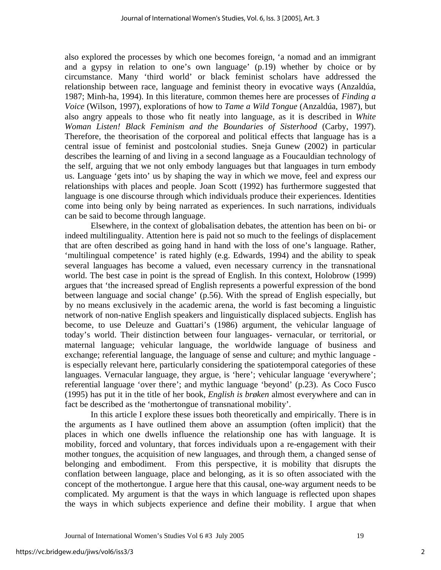also explored the processes by which one becomes foreign, 'a nomad and an immigrant and a gypsy in relation to one's own language' (p.19) whether by choice or by circumstance. Many 'third world' or black feminist scholars have addressed the relationship between race, language and feminist theory in evocative ways (Anzaldúa, 1987; Minh-ha, 1994). In this literature, common themes here are processes of *Finding a Voice* (Wilson, 1997), explorations of how to *Tame a Wild Tongue* (Anzaldúa, 1987), but also angry appeals to those who fit neatly into language, as it is described in *White Woman Listen! Black Feminism and the Boundaries of Sisterhood* (Carby, 1997). Therefore, the theorisation of the corporeal and political effects that language has is a central issue of feminist and postcolonial studies. Sneja Gunew (2002) in particular describes the learning of and living in a second language as a Foucauldian technology of the self, arguing that we not only embody languages but that languages in turn embody us. Language 'gets into' us by shaping the way in which we move, feel and express our relationships with places and people. Joan Scott (1992) has furthermore suggested that language is one discourse through which individuals produce their experiences. Identities come into being only by being narrated as experiences. In such narrations, individuals can be said to become through language.

Elsewhere, in the context of globalisation debates, the attention has been on bi- or indeed multilinguality. Attention here is paid not so much to the feelings of displacement that are often described as going hand in hand with the loss of one's language. Rather, 'multilingual competence' is rated highly (e.g. Edwards, 1994) and the ability to speak several languages has become a valued, even necessary currency in the transnational world. The best case in point is the spread of English. In this context, Holobrow (1999) argues that 'the increased spread of English represents a powerful expression of the bond between language and social change' (p.56). With the spread of English especially, but by no means exclusively in the academic arena, the world is fast becoming a linguistic network of non-native English speakers and linguistically displaced subjects. English has become, to use Deleuze and Guattari's (1986) argument, the vehicular language of today's world. Their distinction between four languages- vernacular, or territorial, or maternal language; vehicular language, the worldwide language of business and exchange; referential language, the language of sense and culture; and mythic language is especially relevant here, particularly considering the spatiotemporal categories of these languages. Vernacular language, they argue, is 'here'; vehicular language 'everywhere'; referential language 'over there'; and mythic language 'beyond' (p.23). As Coco Fusco (1995) has put it in the title of her book, *English is brøken* almost everywhere and can in fact be described as the 'mothertongue of transnational mobility'.

In this article I explore these issues both theoretically and empirically. There is in the arguments as I have outlined them above an assumption (often implicit) that the places in which one dwells influence the relationship one has with language. It is mobility, forced and voluntary, that forces individuals upon a re-engagement with their mother tongu*es*, the acquisition of new languages, and through them, a changed sense of belonging and embodiment. From this perspective, it is mobility that disrupts the conflation between language, place and belonging, as it is so often associated with the concept of the mothertongue. I argue here that this causal, one-way argument needs to be complicated. My argument is that the ways in which language is reflected upon shapes the ways in which subjects experience and define their mobility. I argue that when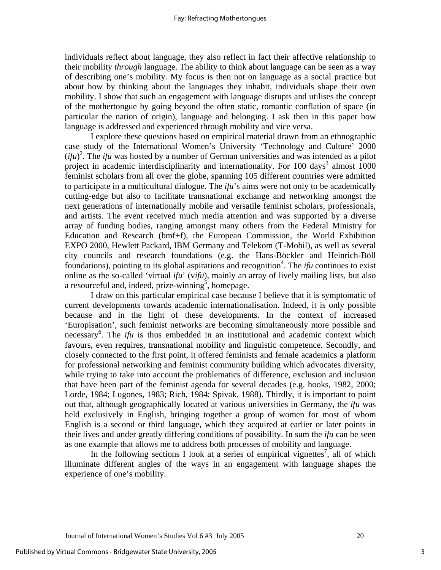individuals reflect about language, they also reflect in fact their affective relationship to their mobility *through* language. The ability to think about language can be seen as a way of describing one's mobility. My focus is then not on language as a social practice but about how by thinking about the languages they inhabit, individuals shape their own mobility. I show that such an engagement with language disrupts and utilises the concept of the mothertongue by going beyond the often static, romantic conflation of space (in particular the nation of origin), language and belonging. I ask then in this paper how language is addressed and experienced through mobility and vice versa.

I explore these questions based on empirical material drawn from an ethnographic case study of the International Women's University 'Technology and Culture' 2000  $(jfu)^2$  $(jfu)^2$ . The *ifu* was hosted by a number of German universities and was intended as a pilot project in academic interdisciplinarity and internationality. For  $100 \text{ days}^3$  $100 \text{ days}^3$  almost  $1000$ feminist scholars from all over the globe, spanning 105 different countries were admitted to participate in a multicultural dialogue. The *ifu*'s aims were not only to be academically cutting-edge but also to facilitate transnational exchange and networking amongst the next generations of internationally mobile and versatile feminist scholars, professionals, and artists. The event received much media attention and was supported by a diverse array of funding bodies, ranging amongst many others from the Federal Ministry for Education and Research (bmf+f), the European Commission, the World Exhibition EXPO 2000, Hewlett Packard, IBM Germany and Telekom (T-Mobil), as well as several city councils and research foundations (e.g. the Hans-Böckler and Heinrich-Böll foundations), pointing to its global aspirations and recognition<sup>4</sup>. The *ifu* continues to exist online as the so-called 'virtual *ifu*' (v*ifu*), mainly an array of lively mailing lists, but also a resourceful and, indeed, prize-winning<sup>5</sup>, homepage.

I draw on this particular empirical case because I believe that it is symptomatic of current developments towards academic internationalisation. Indeed, it is only possible because and in the light of these developments. In the context of increased 'Europisation', such feminist networks are becoming simultaneously more possible and necessary<sup>6</sup>. The *ifu* is thus embedded in an institutional and academic context which favours, even requires, transnational mobility and linguistic competence. Secondly, and closely connected to the first point, it offered feminists and female academics a platform for professional networking and feminist community building which advocates diversity, while trying to take into account the problematics of difference, exclusion and inclusion that have been part of the feminist agenda for several decades (e.g. hooks, 1982, 2000; Lorde, 1984; Lugones, 1983; Rich, 1984; Spivak, 1988). Thirdly, it is important to point out that, although geographically located at various universities in Germany, the *ifu* was held exclusively in English, bringing together a group of women for most of whom English is a second or third language, which they acquired at earlier or later points in their lives and under greatly differing conditions of possibility. In sum the *ifu* can be seen as one example that allows me to address both processes of mobility and language.

In the following sections I look at a series of empirical vignettes<sup>7</sup>, all of which illuminate different angles of the ways in an engagement with language shapes the experience of one's mobility.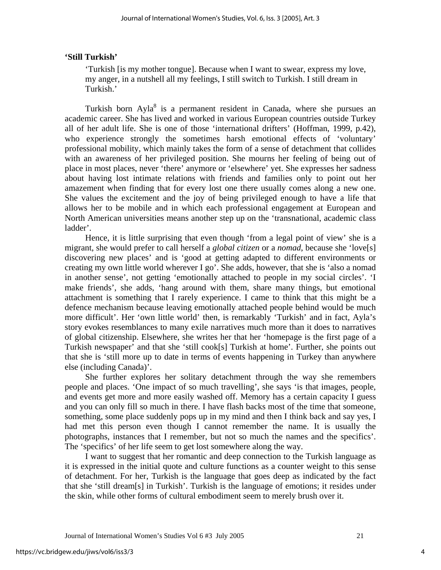#### **'Still Turkish'**

'Turkish [is my mother tongue]. Because when I want to swear, express my love, my anger, in a nutshell all my feelings, I still switch to Turkish. I still dream in Turkish.'

Turkish born Ayla<sup>8</sup> is a permanent resident in Canada, where she pursues an academic career. She has lived and worked in various European countries outside Turkey all of her adult life. She is one of those 'international drifters' (Hoffman, 1999, p.42), who experience strongly the sometimes harsh emotional effects of 'voluntary' professional mobility, which mainly takes the form of a sense of detachment that collides with an awareness of her privileged position. She mourns her feeling of being out of place in most places, never 'there' anymore or 'elsewhere' yet. She expresses her sadness about having lost intimate relations with friends and families only to point out her amazement when finding that for every lost one there usually comes along a new one. She values the excitement and the joy of being privileged enough to have a life that allows her to be mobile and in which each professional engagement at European and North American universities means another step up on the 'transnational, academic class ladder'.

Hence, it is little surprising that even though 'from a legal point of view' she is a migrant, she would prefer to call herself a *global citizen* or a *nomad*, because she 'love[s] discovering new places' and is 'good at getting adapted to different environments or creating my own little world wherever I go'. She adds, however, that she is 'also a nomad in another sense', not getting 'emotionally attached to people in my social circles'. 'I make friends', she adds, 'hang around with them, share many things, but emotional attachment is something that I rarely experience. I came to think that this might be a defence mechanism because leaving emotionally attached people behind would be much more difficult'. Her 'own little world' then, is remarkably 'Turkish' and in fact, Ayla's story evokes resemblances to many exile narratives much more than it does to narratives of global citizenship. Elsewhere, she writes her that her 'homepage is the first page of a Turkish newspaper' and that she 'still cook[s] Turkish at home'. Further, she points out that she is 'still more up to date in terms of events happening in Turkey than anywhere else (including Canada)'.

She further explores her solitary detachment through the way she remembers people and places. 'One impact of so much travelling', she says 'is that images, people, and events get more and more easily washed off. Memory has a certain capacity I guess and you can only fill so much in there. I have flash backs most of the time that someone, something, some place suddenly pops up in my mind and then I think back and say yes, I had met this person even though I cannot remember the name. It is usually the photographs, instances that I remember, but not so much the names and the specifics'. The 'specifics' of her life seem to get lost somewhere along the way.

I want to suggest that her romantic and deep connection to the Turkish language as it is expressed in the initial quote and culture functions as a counter weight to this sense of detachment. For her, Turkish is the language that goes deep as indicated by the fact that she 'still dream[s] in Turkish'. Turkish is the language of emotions; it resides under the skin, while other forms of cultural embodiment seem to merely brush over it.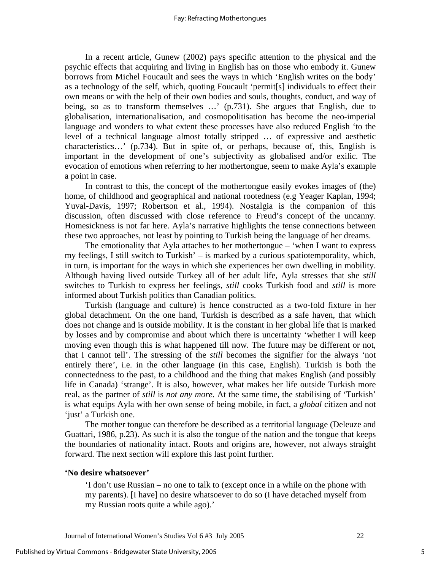In a recent article, Gunew (2002) pays specific attention to the physical and the psychic effects that acquiring and living in English has on those who embody it. Gunew borrows from Michel Foucault and sees the ways in which 'English writes on the body' as a technology of the self, which, quoting Foucault 'permit[s] individuals to effect their own means or with the help of their own bodies and souls, thoughts, conduct, and way of being, so as to transform themselves …' (p.731). She argues that English, due to globalisation, internationalisation, and cosmopolitisation has become the neo-imperial language and wonders to what extent these processes have also reduced English 'to the level of a technical language almost totally stripped … of expressive and aesthetic characteristics…' (p.734). But in spite of, or perhaps, because of, this, English is important in the development of one's subjectivity as globalised and/or exilic. The evocation of emotions when referring to her mothertongue, seem to make Ayla's example a point in case.

In contrast to this, the concept of the mothertongue easily evokes images of (the) home, of childhood and geographical and national rootedness (e.g Yeager Kaplan, 1994; Yuval-Davis, 1997; Robertson et al., 1994). Nostalgia is the companion of this discussion, often discussed with close reference to Freud's concept of the uncanny. Homesickness is not far here. Ayla's narrative highlights the tense connections between these two approaches, not least by pointing to Turkish being the language of her dreams.

The emotionality that Ayla attaches to her mothertongue – 'when I want to express my feelings, I still switch to Turkish' – is marked by a curious spatiotemporality, which, in turn, is important for the ways in which she experiences her own dwelling in mobility. Although having lived outside Turkey all of her adult life, Ayla stresses that she *still* switches to Turkish to express her feelings, *still* cooks Turkish food and *still* is more informed about Turkish politics than Canadian politics.

Turkish (language and culture) is hence constructed as a two-fold fixture in her global detachment. On the one hand, Turkish is described as a safe haven, that which does not change and is outside mobility. It is the constant in her global life that is marked by losses and by compromise and about which there is uncertainty 'whether I will keep moving even though this is what happened till now. The future may be different or not, that I cannot tell'. The stressing of the *still* becomes the signifier for the always 'not entirely there', i.e. in the other language (in this case, English). Turkish is both the connectedness to the past, to a childhood and the thing that makes English (and possibly life in Canada) 'strange'. It is also, however, what makes her life outside Turkish more real, as the partner of *still* is *not any more.* At the same time, the stabilising of 'Turkish' is what equips Ayla with her own sense of being mobile, in fact, a *global* citizen and not 'just' a Turkish one.

The mother tongue can therefore be described as a territorial language (Deleuze and Guattari, 1986, p.23). As such it is also the tongue of the nation and the tongue that keeps the boundaries of nationality intact. Roots and origins are, however, not always straight forward. The next section will explore this last point further.

#### **'No desire whatsoever'**

'I don't use Russian – no one to talk to (except once in a while on the phone with my parents). [I have] no desire whatsoever to do so (I have detached myself from my Russian roots quite a while ago).'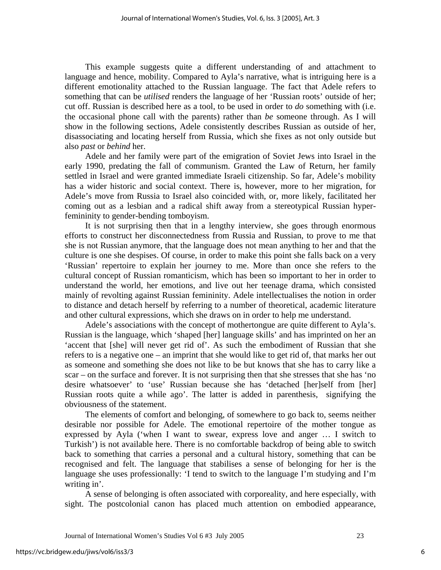This example suggests quite a different understanding of and attachment to language and hence, mobility. Compared to Ayla's narrative, what is intriguing here is a different emotionality attached to the Russian language. The fact that Adele refers to something that can be *utilised* renders the language of her 'Russian roots' outside of her; cut off. Russian is described here as a tool, to be used in order to *do* something with (i.e. the occasional phone call with the parents) rather than *be* someone through. As I will show in the following sections, Adele consistently describes Russian as outside of her, disassociating and locating herself from Russia, which she fixes as not only outside but also *past* or *behind* her.

Adele and her family were part of the emigration of Soviet Jews into Israel in the early 1990, predating the fall of communism. Granted the Law of Return, her family settled in Israel and were granted immediate Israeli citizenship. So far, Adele's mobility has a wider historic and social context. There is, however, more to her migration, for Adele's move from Russia to Israel also coincided with, or, more likely, facilitated her coming out as a lesbian and a radical shift away from a stereotypical Russian hyperfemininity to gender-bending tomboyism.

It is not surprising then that in a lengthy interview, she goes through enormous efforts to construct her disconnectedness from Russia and Russian, to prove to me that she is not Russian anymore, that the language does not mean anything to her and that the culture is one she despises. Of course, in order to make this point she falls back on a very 'Russian' repertoire to explain her journey to me. More than once she refers to the cultural concept of Russian romanticism, which has been so important to her in order to understand the world, her emotions, and live out her teenage drama, which consisted mainly of revolting against Russian femininity. Adele intellectualises the notion in order to distance and detach herself by referring to a number of theoretical, academic literature and other cultural expressions, which she draws on in order to help me understand.

Adele's associations with the concept of mothertongue are quite different to Ayla's. Russian is the language, which 'shaped [her] language skills' and has imprinted on her an 'accent that [she] will never get rid of'. As such the embodiment of Russian that she refers to is a negative one – an imprint that she would like to get rid of, that marks her out as someone and something she does not like to be but knows that she has to carry like a scar – on the surface and forever. It is not surprising then that she stresses that she has 'no desire whatsoever' to 'use' Russian because she has 'detached [her]self from [her] Russian roots quite a while ago'. The latter is added in parenthesis, signifying the obviousness of the statement.

The elements of comfort and belonging, of somewhere to go back to, seems neither desirable nor possible for Adele. The emotional repertoire of the mother tongue as expressed by Ayla ('when I want to swear, express love and anger … I switch to Turkish') is not available here. There is no comfortable backdrop of being able to switch back to something that carries a personal and a cultural history, something that can be recognised and felt. The language that stabilises a sense of belonging for her is the language she uses professionally: 'I tend to switch to the language I'm studying and I'm writing in'.

A sense of belonging is often associated with corporeality, and here especially, with sight. The postcolonial canon has placed much attention on embodied appearance,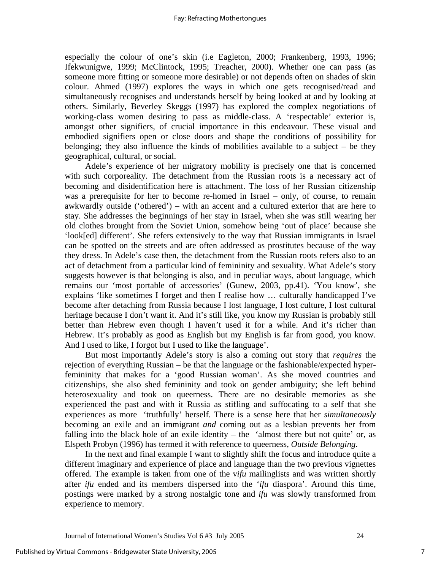especially the colour of one's skin (i.e Eagleton, 2000; Frankenberg, 1993, 1996; Ifekwunigwe, 1999; McClintock, 1995; Treacher, 2000). Whether one can pass (as someone more fitting or someone more desirable) or not depends often on shades of skin colour. Ahmed (1997) explores the ways in which one gets recognised/read and simultaneously recognises and understands herself by being looked at and by looking at others. Similarly, Beverley Skeggs (1997) has explored the complex negotiations of working-class women desiring to pass as middle-class. A 'respectable' exterior is, amongst other signifiers, of crucial importance in this endeavour. These visual and embodied signifiers open or close doors and shape the conditions of possibility for belonging; they also influence the kinds of mobilities available to a subject – be they geographical, cultural, or social.

Adele's experience of her migratory mobility is precisely one that is concerned with such corporeality. The detachment from the Russian roots is a necessary act of becoming and disidentification here is attachment. The loss of her Russian citizenship was a prerequisite for her to become re-homed in Israel – only, of course, to remain awkwardly outside ('othered') – with an accent and a cultured exterior that are here to stay. She addresses the beginnings of her stay in Israel, when she was still wearing her old clothes brought from the Soviet Union, somehow being 'out of place' because she 'look[ed] different'. She refers extensively to the way that Russian immigrants in Israel can be spotted on the streets and are often addressed as prostitutes because of the way they dress. In Adele's case then, the detachment from the Russian roots refers also to an act of detachment from a particular kind of femininity and sexuality. What Adele's story suggests however is that belonging is also, and in peculiar ways, about language, which remains our 'most portable of accessories' (Gunew, 2003, pp.41). 'You know', she explains 'like sometimes I forget and then I realise how ... culturally handicapped I've become after detaching from Russia because I lost language, I lost culture, I lost cultural heritage because I don't want it. And it's still like, you know my Russian is probably still better than Hebrew even though I haven't used it for a while. And it's richer than Hebrew. It's probably as good as English but my English is far from good, you know. And I used to like, I forgot but I used to like the language'.

But most importantly Adele's story is also a coming out story that *requires* the rejection of everything Russian – be that the language or the fashionable/expected hyperfemininity that makes for a 'good Russian woman'. As she moved countries and citizenships, she also shed femininity and took on gender ambiguity; she left behind heterosexuality and took on queerness. There are no desirable memories as she experienced the past and with it Russia as stifling and suffocating to a self that she experiences as more 'truthfully' herself. There is a sense here that her *simultaneously* becoming an exile and an immigrant *and* coming out as a lesbian prevents her from falling into the black hole of an exile identity – the 'almost there but not quite' or, as Elspeth Probyn (1996) has termed it with reference to queerness, *Outside Belonging*.

In the next and final example I want to slightly shift the focus and introduce quite a different imaginary and experience of place and language than the two previous vignettes offered. The example is taken from one of the v*ifu* mailinglists and was written shortly after *ifu* ended and its members dispersed into the '*ifu* diaspora'. Around this time, postings were marked by a strong nostalgic tone and *ifu* was slowly transformed from experience to memory.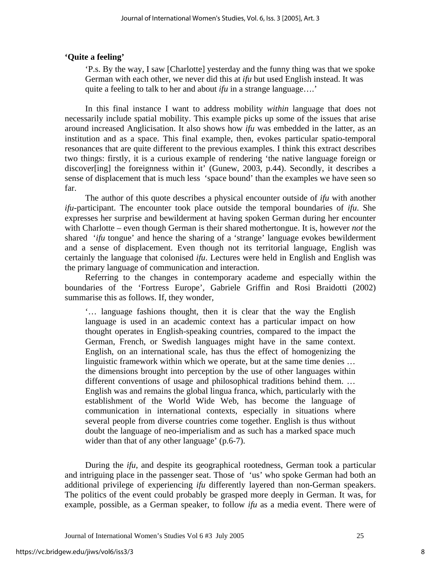# **'Quite a feeling'**

'P.s. By the way, I saw [Charlotte] yesterday and the funny thing was that we spoke German with each other, we never did this at *ifu* but used English instead. It was quite a feeling to talk to her and about *ifu* in a strange language….'

In this final instance I want to address mobility *within* language that does not necessarily include spatial mobility. This example picks up some of the issues that arise around increased Anglicisation. It also shows how *ifu* was embedded in the latter, as an institution and as a space. This final example, then, evokes particular spatio-temporal resonances that are quite different to the previous examples. I think this extract describes two things: firstly, it is a curious example of rendering 'the native language foreign or discover[ing] the foreignness within it' (Gunew, 2003, p.44). Secondly, it describes a sense of displacement that is much less 'space bound' than the examples we have seen so far.

The author of this quote describes a physical encounter outside of *ifu* with another *ifu*-participant. The encounter took place outside the temporal boundaries of *ifu*. She expresses her surprise and bewilderment at having spoken German during her encounter with Charlotte – even though German is their shared mothertongue. It is, however *not* the shared '*ifu* tongue' and hence the sharing of a 'strange' language evokes bewilderment and a sense of displacement. Even though not its territorial language, English was certainly the language that colonised *ifu*. Lectures were held in English and English was the primary language of communication and interaction.

Referring to the changes in contemporary academe and especially within the boundaries of the 'Fortress Europe', Gabriele Griffin and Rosi Braidotti (2002) summarise this as follows. If, they wonder,

'… language fashions thought, then it is clear that the way the English language is used in an academic context has a particular impact on how thought operates in English-speaking countries, compared to the impact the German, French, or Swedish languages might have in the same context. English, on an international scale, has thus the effect of homogenizing the linguistic framework within which we operate, but at the same time denies … the dimensions brought into perception by the use of other languages within different conventions of usage and philosophical traditions behind them. … English was and remains the global lingua franca, which, particularly with the establishment of the World Wide Web, has become the language of communication in international contexts, especially in situations where several people from diverse countries come together. English is thus without doubt the language of neo-imperialism and as such has a marked space much wider than that of any other language' (p.6-7).

During the *ifu*, and despite its geographical rootedness, German took a particular and intriguing place in the passenger seat. Those of 'us' who spoke German had both an additional privilege of experiencing *ifu* differently layered than non-German speakers. The politics of the event could probably be grasped more deeply in German. It was, for example, possible, as a German speaker, to follow *ifu* as a media event. There were of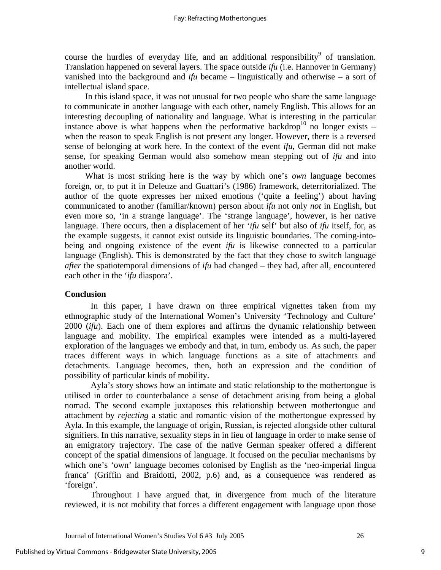course the hurdles of everyday life, and an additional responsibility<sup>9</sup> of translation. Translation happened on several layers. The space outside *ifu* (i.e. Hannover in Germany) vanished into the background and *ifu* became – linguistically and otherwise – a sort of intellectual island space.

In this island space, it was not unusual for two people who share the same language to communicate in another language with each other, namely English. This allows for an interesting decoupling of nationality and language. What is interesting in the particular instance above is what happens when the performative backdrop<sup>10</sup> no longer exists – when the reason to speak English is not present any longer. However, there is a reversed sense of belonging at work here. In the context of the event *ifu*, German did not make sense, for speaking German would also somehow mean stepping out of *ifu* and into another world.

What is most striking here is the way by which one's *own* language becomes foreign, or, to put it in Deleuze and Guattari's (1986) framework, deterritorialized. The author of the quote expresses her mixed emotions ('quite a feeling') about having communicated to another (familiar/known) person about *ifu* not only *not* in English, but even more so, 'in a strange language'. The 'strange language', however, is her native language. There occurs, then a displacement of her '*ifu* self' but also of *ifu* itself, for, as the example suggests, it cannot exist outside its linguistic boundaries. The coming-intobeing and ongoing existence of the event *ifu* is likewise connected to a particular language (English). This is demonstrated by the fact that they chose to switch language *after* the spatiotemporal dimensions of *ifu* had changed – they had, after all, encountered each other in the '*ifu* diaspora'.

## **Conclusion**

In this paper, I have drawn on three empirical vignettes taken from my ethnographic study of the International Women's University 'Technology and Culture' 2000 (*ifu*). Each one of them explores and affirms the dynamic relationship between language and mobility. The empirical examples were intended as a multi-layered exploration of the languages we embody and that, in turn, embody us. As such, the paper traces different ways in which language functions as a site of attachments and detachments. Language becomes, then, both an expression and the condition of possibility of particular kinds of mobility.

Ayla's story shows how an intimate and static relationship to the mothertongue is utilised in order to counterbalance a sense of detachment arising from being a global nomad. The second example juxtaposes this relationship between mothertongue and attachment by *rejecting* a static and romantic vision of the mothertongue expressed by Ayla. In this example, the language of origin, Russian, is rejected alongside other cultural signifiers. In this narrative, sexuality steps in in lieu of language in order to make sense of an emigratory trajectory. The case of the native German speaker offered a different concept of the spatial dimensions of language. It focused on the peculiar mechanisms by which one's 'own' language becomes colonised by English as the 'neo-imperial lingua franca' (Griffin and Braidotti, 2002, p.6) and, as a consequence was rendered as 'foreign'.

Throughout I have argued that, in divergence from much of the literature reviewed, it is not mobility that forces a different engagement with language upon those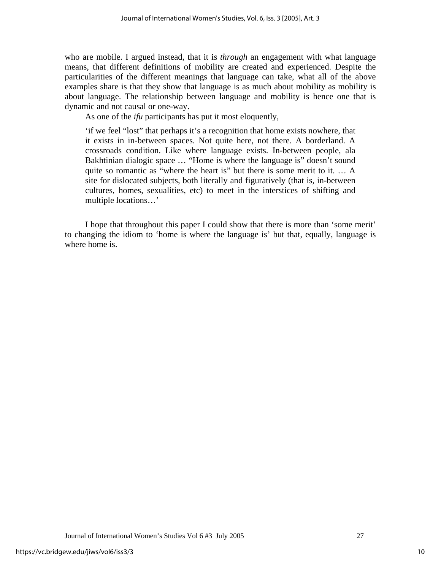who are mobile. I argued instead, that it is *through* an engagement with what language means, that different definitions of mobility are created and experienced. Despite the particularities of the different meanings that language can take, what all of the above examples share is that they show that language is as much about mobility as mobility is about language. The relationship between language and mobility is hence one that is dynamic and not causal or one-way.

As one of the *ifu* participants has put it most eloquently,

'if we feel "lost" that perhaps it's a recognition that home exists nowhere, that it exists in in-between spaces. Not quite here, not there. A borderland. A crossroads condition. Like where language exists. In-between people, ala Bakhtinian dialogic space … "Home is where the language is" doesn't sound quite so romantic as "where the heart is" but there is some merit to it. … A site for dislocated subjects, both literally and figuratively (that is, in-between cultures, homes, sexualities, etc) to meet in the interstices of shifting and multiple locations…'

I hope that throughout this paper I could show that there is more than 'some merit' to changing the idiom to 'home is where the language is' but that, equally, language is where home is.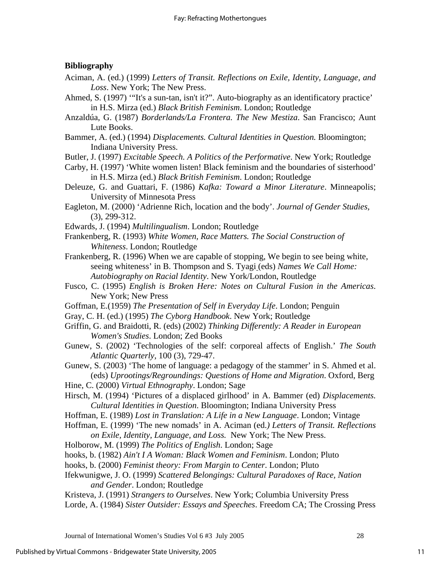# **Bibliography**

- Aciman, A. (ed.) (1999) *Letters of Transit. Reflections on Exile, Identity, Language, and Loss*. New York; The New Press.
- Ahmed, S. (1997) '"It's a sun-tan, isn't it?". Auto-biography as an identificatory practice' in H.S. Mirza (ed.) *Black British Feminism*. London; Routledge
- Anzaldúa, G. (1987) *Borderlands/La Frontera. The New Mestiza*. San Francisco; Aunt Lute Books.
- Bammer, A. (ed.) (1994) *Displacements. Cultural Identities in Question.* Bloomington; Indiana University Press.
- Butler, J. (1997) *Excitable Speech. A Politics of the Performative*. New York; Routledge
- Carby, H. (1997) 'White women listen! Black feminism and the boundaries of sisterhood' in H.S. Mirza (ed.) *Black British Feminism*. London; Routledge
- Deleuze, G. and Guattari, F. (1986) *Kafka: Toward a Minor Literature*. Minneapolis; University of Minnesota Press
- Eagleton, M. (2000) 'Adrienne Rich, location and the body'. *Journal of Gender Studies,*  (3), 299-312.
- Edwards, J. (1994) *Multilingualism*. London; Routledge
- Frankenberg, R. (1993) *White Women, Race Matters. The Social Construction of Whiteness*. London; Routledge
- Frankenberg, R. (1996) When we are capable of stopping, We begin to see being white, seeing whiteness' in B. Thompson and S. Tyagi (eds) *Names We Call Home: Autobiography on Racial Identity*. New York/London, Routledge
- Fusco, C. (1995) *English is Broken Here: Notes on Cultural Fusion in the Americas*. New York; New Press
- Goffman, E.(1959) *The Presentation of Self in Everyday Life*. London; Penguin
- Gray, C. H. (ed.) (1995) *The Cyborg Handbook*. New York; Routledge
- Griffin, G. and Braidotti, R. (eds) (2002) *Thinking Differently: A Reader in European Women's Studies*. London; Zed Books
- Gunew, S. (2002) 'Technologies of the self: corporeal affects of English.' *The South Atlantic Quarterly,* 100 (3), 729-47.
- Gunew, S. (2003) 'The home of language: a pedagogy of the stammer' in S. Ahmed et al. (eds) *Uprootings/Regroundings: Questions of Home and Migration*. Oxford, Berg
- Hine, C. (2000) *Virtual Ethnography*. London; Sage
- Hirsch, M. (1994) 'Pictures of a displaced girlhood' in A. Bammer (ed) *Displacements. Cultural Identities in Question*. Bloomington; Indiana University Press
- Hoffman, E. (1989) *Lost in Translation: A Life in a New Language*. London; Vintage
- Hoffman, E. (1999) 'The new nomads' in A. Aciman (ed.*) Letters of Transit. Reflections on Exile, Identity, Language, and Loss.* New York; The New Press.
- Holborow, M. (1999) *The Politics of English*. London; Sage
- hooks, b. (1982) *Ain't I A Woman: Black Women and Feminism*. London; Pluto
- hooks, b. (2000) *Feminist theory: From Margin to Center*. London; Pluto
- Ifekwunigwe, J. O. (1999) *Scattered Belongings: Cultural Paradoxes of Race, Nation and Gender*. London; Routledge
- Kristeva, J. (1991) *Strangers to Ourselves*. New York; Columbia University Press Lorde, A. (1984) *Sister Outsider: Essays and Speeches*. Freedom CA; The Crossing Press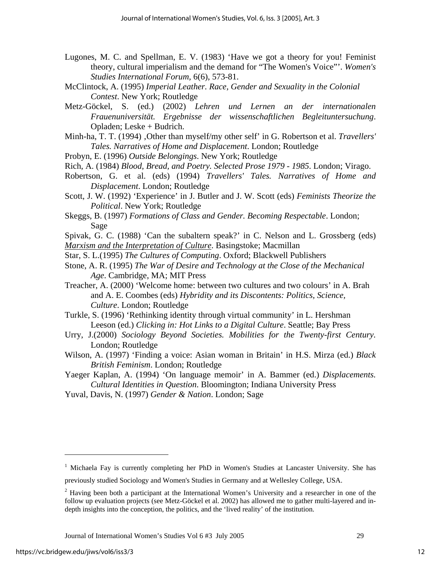- Lugones, M. C. and Spellman, E. V. (1983) 'Have we got a theory for you! Feminist theory, cultural imperialism and the demand for "The Women's Voice"'. *Women's Studies International Forum,* 6(6), 573-81.
- McClintock, A. (1995) *Imperial Leather. Race, Gender and Sexuality in the Colonial Contest*. New York; Routledge
- Metz-Göckel, S. (ed.) (2002) *Lehren und Lernen an der internationalen Frauenuniversität. Ergebnisse der wissenschaftlichen Begleituntersuchung*. Opladen; Leske + Budrich.
- Minh-ha, T. T. (1994) 'Other than myself/my other self' in G. Robertson et al. *Travellers' Tales. Narratives of Home and Displacement*. London; Routledge
- Probyn, E. (1996) *Outside Belongings*. New York; Routledge
- Rich, A. (1984) *Blood, Bread, and Poetry. Selected Prose 1979 1985*. London; Virago.
- Robertson, G. et al. (eds) (1994) *Travellers' Tales. Narratives of Home and Displacement*. London; Routledge
- Scott, J. W. (1992) 'Experience' in J. Butler and J. W. Scott (eds) *Feminists Theorize the Political*. New York; Routledge
- Skeggs, B. (1997) *Formations of Class and Gender. Becoming Respectable*. London; Sage
- Spivak, G. C. (1988) 'Can the subaltern speak?' in C. Nelson and L. Grossberg (eds) *Marxism and the Interpretation of Culture*. Basingstoke; Macmillan
- Star, S. L.(1995) *The Cultures of Computing*. Oxford; Blackwell Publishers
- Stone, A. R. (1995) *The War of Desire and Technology at the Close of the Mechanical Age*. Cambridge, MA; MIT Press
- Treacher, A. (2000) 'Welcome home: between two cultures and two colours' in A. Brah and A. E. Coombes (eds) *Hybridity and its Discontents: Politics, Science, Culture*. London; Routledge
- Turkle, S. (1996) 'Rethinking identity through virtual community' in L. Hershman Leeson (ed.) *Clicking in: Hot Links to a Digital Culture*. Seattle; Bay Press
- Urry, J.(2000) *Sociology Beyond Societies. Mobilities for the Twenty-first Century.*  London; Routledge
- Wilson, A. (1997) 'Finding a voice: Asian woman in Britain' in H.S. Mirza (ed.) *Black British Feminism*. London; Routledge
- Yaeger Kaplan, A. (1994) 'On language memoir' in A. Bammer (ed.) *Displacements. Cultural Identities in Question*. Bloomington; Indiana University Press
- Yuval, Davis, N. (1997) *Gender & Nation*. London; Sage

 $\overline{a}$ 

12

<sup>&</sup>lt;sup>1</sup> Michaela Fay is currently completing her PhD in Women's Studies at Lancaster University. She has previously studied Sociology and Women's Studies in Germany and at Wellesley College, USA.

 $2$  Having been both a participant at the International Women's University and a researcher in one of the follow up evaluation projects (see Metz-Göckel et al. 2002) has allowed me to gather multi-layered and indepth insights into the conception, the politics, and the 'lived reality' of the institution.